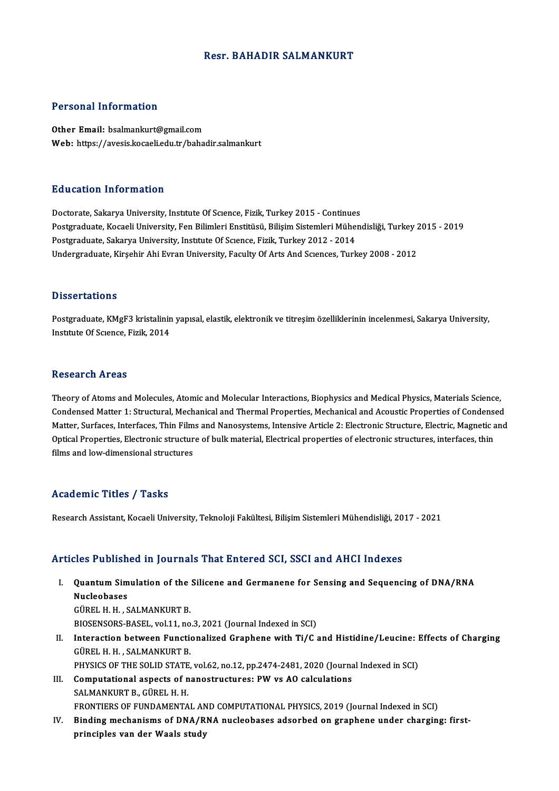## Resr. BAHADIR SALMANKURT

## Personal Information

Other Email: bsalmankurt@gmail.com Web: https://avesis.kocaeli.edu.tr/bahadir.salmankurt

## Education Information

Doctorate, Sakarya University, Institute Of Science, Fizik, Turkey 2015 - Continues Postgraduate, Kocaeli University, Fen Bilimleri Enstitüsü, Bilişim Sistemleri Mühendisliği, Turkey 2015 - 2019 Postgraduate, Sakarya University, Institute Of Science, Fizik, Turkey 2012 - 2014 Undergraduate, Kirşehir Ahi Evran University, Faculty Of Arts And Sciences, Turkey 2008 - 2012

## **Dissertations**

Dissertations<br>Postgraduate, KMgF3 kristalinin yapısal, elastik, elektronik ve titreşim özelliklerinin incelenmesi, Sakarya University,<br>Institute Of Savage, Fizik, 2014 2 19901 tatrone<br>Postgraduate, KMgF3 kristalinin<br>Institute Of Science, Fizik, 2014 Institute Of Science, Fizik, 2014<br>Research Areas

Theory of Atoms and Molecules, Atomic and Molecular Interactions, Biophysics and Medical Physics, Materials Science, Theory of Atoms and Molecules, Atomic and Molecular Interactions, Biophysics and Medical Physics, Materials Science,<br>Condensed Matter 1: Structural, Mechanical and Thermal Properties, Mechanical and Acoustic Properties of Theory of Atoms and Molecules, Atomic and Molecular Interactions, Biophysics and Medical Physics, Materials Science,<br>Condensed Matter 1: Structural, Mechanical and Thermal Properties, Mechanical and Acoustic Properties of Condensed Matter 1: Structural, Mechanical and Thermal Properties, Mechanical and Acoustic Properties of Condense<br>Matter, Surfaces, Interfaces, Thin Films and Nanosystems, Intensive Article 2: Electronic Structure, Electri Matter, Surfaces, Interfaces, Thin Films and Nanosystems, Intensive Article 2: Electronic Structure, Electric, Magnetic and<br>Optical Properties, Electronic structure of bulk material, Electrical properties of electronic str

# Academic Titles / Tasks

Research Assistant, Kocaeli University, Teknoloji Fakültesi, Bilişim Sistemleri Mühendisliği, 2017 - 2021

## Articles Published in Journals That Entered SCI, SSCI and AHCI Indexes

- rticles Published in Journals That Entered SCI, SSCI and AHCI Indexes<br>I. Quantum Simulation of the Silicene and Germanene for Sensing and Sequencing of DNA/RNA<br>Nucleobases nce i abiish<br>Quantum Sim<br>Nucleobases<br>Cüpet u u s **Quantum Simulation of the<br>Nucleobases<br>GÜREL H. H., SALMANKURT B.<br>PIOSENSOBS PASEL .vol 11. no** Nucleobases<br>GÜREL H. H. , SALMANKURT B.<br>BIOSENSORS-BASEL, vol.11, no.3, 2021 (Journal Indexed in SCI)<br>Interaction between Eunctionalized Cranbene with Ti*lC i*
- GÜREL H. H. , SALMANKURT B.<br>BIOSENSORS-BASEL, vol.11, no.3, 2021 (Journal Indexed in SCI)<br>II. Interaction between Functionalized Graphene with Ti/C and Histidine/Leucine: Effects of Charging<br>GÜREL H. H. , SALMANKURT B. BIOSENSORS-BASEL, vol.11, no<br>Interaction between Function<br>GÜREL H. H. , SALMANKURT B.<br>BUVSICS OF TUE SOLID STATE Interaction between Functionalized Graphene with Ti/C and Histidine/Leucine: I<br>GÜREL H. H. , SALMANKURT B.<br>PHYSICS OF THE SOLID STATE, vol.62, no.12, pp.2474-2481, 2020 (Journal Indexed in SCI)<br>Computational aspects of pen
	-
- GÜREL H. H., SALMANKURT B.<br>PHYSICS OF THE SOLID STATE, vol.62, no.12, pp.2474-2481, 2020 (Journa<br>III. Computational aspects of nanostructures: PW vs AO calculations<br>SALMANKUPT P. CÜREL H. H. PHYSICS OF THE SOLID STATE<br>Computational aspects of n<br>SALMANKURT B., GÜREL H. H.<br>EPONTIERS OF FUNDAMENTA III. Computational aspects of nanostructures: PW vs AO calculations<br>SALMANKURT B., GÜREL H. H.<br>FRONTIERS OF FUNDAMENTAL AND COMPUTATIONAL PHYSICS. 2019 (Journal Indexed in SCI)
- IV. Binding mechanisms of DNA/RNA nucleobases adsorbed on graphene under charging: firstprinciples van der Waals study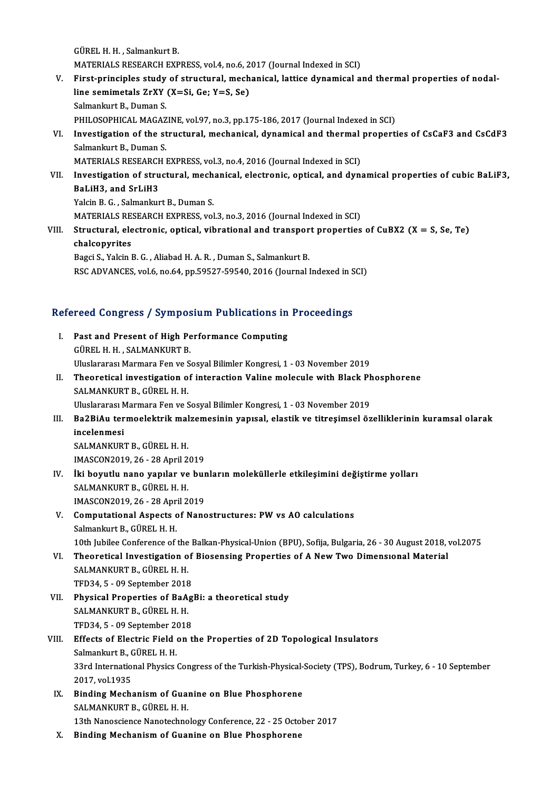GÜREL H. H., Salmankurt B. MATERIALS RESEARCH EXPRESS, vol.4, no.6, 2017 (Journal Indexed in SCI)

- GÜREL H. H. , Salmankurt B.<br>MATERIALS RESEARCH EXPRESS, vol.4, no.6, 2017 (Journal Indexed in SCI)<br>V. First-principles study of structural, mechanical, lattice dynamical and thermal properties of nodal-<br>line comimatele 7xY MATERIALS RESEARCH EXPRESS, vol.4, no.6, 2<br>First-principles study of structural, mech<br>line semimetals ZrXY (X=Si, Ge; Y=S, Se)<br>Selmanluut B. Duman S First-principles study<br>line semimetals ZrXY<br>Salmankurt B., Duman S.<br>PHILOSOPHICAL MACAZ line semimetals ZrXY (X=Si, Ge; Y=S, Se)<br>Salmankurt B., Duman S.<br>PHILOSOPHICAL MAGAZINE, vol.97, no.3, pp.175-186, 2017 (Journal Indexed in SCI) Salmankurt B., Duman S.<br>PHILOSOPHICAL MAGAZINE, vol.97, no.3, pp.175-186, 2017 (Journal Indexed in SCI)<br>VI. Investigation of the structural, mechanical, dynamical and thermal properties of CsCaF3 and CsCdF3<br>Salmankurt B. D
- PHILOSOPHICAL MAGAZ<br>Investigation of the st<br>Salmankurt B., Duman S.<br>MATEPIALS RESEARCH I Investigation of the structural, mechanical, dynamical and thermal<br>Salmankurt B., Duman S.<br>MATERIALS RESEARCH EXPRESS, vol.3, no.4, 2016 (Journal Indexed in SCI)<br>Investigation of structural, mechanical, electronic, ontical

Salmankurt B., Duman S.<br>MATERIALS RESEARCH EXPRESS, vol.3, no.4, 2016 (Journal Indexed in SCI)<br>VII. Investigation of structural, mechanical, electronic, optical, and dynamical properties of cubic BaLiF3,<br>ReliH3, and SrliH3 MATERIALS RESEARCH EXPRESS, vol.3, no.4, 2016 (Journal Indexed in SCI)<br>Investigation of structural, mechanical, electronic, optical, and dyn<br>BaLiH3, and SrLiH3<br>Yalcin B. G., Salmankurt B., Duman S. Investigation of structural, mech<br>BaLiH3, and SrLiH3<br>Yalcin B. G. , Salmankurt B., Duman S.<br>MATEDIALS BESEADCH EVPRESS vol

MATERIALS RESEARCH EXPRESS, vol.3, no.3, 2016 (Journal Indexed in SCI)

Yalcin B. G. , Salmankurt B., Duman S.<br>MATERIALS RESEARCH EXPRESS, vol.3, no.3, 2016 (Journal Indexed in SCI)<br>VIII. Structural, electronic, optical, vibrational and transport properties of CuBX2 (X = S, Se, Te)<br>chalconyrit MATERIALS RE<br>Structural, ele<br>chalcopyrites<br>Paggi S. Valgin l Structural, electronic, optical, vibrational and transpor<br>chalcopyrites<br>Bagci S., Yalcin B. G. , Aliabad H. A. R. , Duman S., Salmankurt B.<br>BSC ADVANGES vol.6, po 64, pp 59527, 59549, 2016 (Journal l

chalcopyrites<br>Bagci S., Yalcin B. G. , Aliabad H. A. R. , Duman S., Salmankurt B.<br>RSC ADVANCES, vol.6, no.64, pp.59527-59540, 2016 (Journal Indexed in SCI)

# ksc ADvANces, vol.6, no.64, pp.59527-59540, 2016 (journal indexed in s<br>Refereed Congress / Symposium Publications in Proceedings

| Refereed Congress / Symposium Publications in Proceedings |                                                                                                             |
|-----------------------------------------------------------|-------------------------------------------------------------------------------------------------------------|
| L                                                         | Past and Present of High Performance Computing                                                              |
|                                                           | GÜREL H. H., SALMANKURT B.                                                                                  |
|                                                           | Uluslararası Marmara Fen ve Sosyal Bilimler Kongresi, 1 - 03 November 2019                                  |
| П.                                                        | Theoretical investigation of interaction Valine molecule with Black Phosphorene                             |
|                                                           | SALMANKURT B., GÜREL H. H.                                                                                  |
|                                                           | Uluslararası Marmara Fen ve Sosyal Bilimler Kongresi, 1 - 03 November 2019                                  |
| III.                                                      | Ba2BiAu termoelektrik malzemesinin yapısal, elastik ve titreşimsel özelliklerinin kuramsal olarak           |
|                                                           | incelenmesi                                                                                                 |
|                                                           | SALMANKURT B., GÜREL H. H.                                                                                  |
|                                                           | IMASCON2019, 26 - 28 April 2019                                                                             |
| IV.                                                       | İki boyutlu nano yapılar ve bunların moleküllerle etkileşimini değiştirme yolları                           |
|                                                           | SALMANKURT B., GÜREL H. H.                                                                                  |
|                                                           | IMASCON2019, 26 - 28 April 2019                                                                             |
| V.                                                        | Computational Aspects of Nanostructures: PW vs AO calculations                                              |
|                                                           | Salmankurt B., GÜREL H. H.                                                                                  |
|                                                           | 10th Jubilee Conference of the Balkan-Physical-Union (BPU), Sofija, Bulgaria, 26 - 30 August 2018, vol.2075 |
| VI.                                                       | Theoretical Investigation of Biosensing Properties of A New Two Dimensional Material                        |
|                                                           | SALMANKURT B., GÜREL H. H.                                                                                  |
|                                                           | TFD34, 5 - 09 September 2018                                                                                |
| VII.                                                      | Physical Properties of BaAgBi: a theoretical study                                                          |
|                                                           | SALMANKURT B., GÜREL H. H.                                                                                  |
|                                                           | TFD34, 5 - 09 September 2018                                                                                |
| VIII.                                                     | Effects of Electric Field on the Properties of 2D Topological Insulators                                    |
|                                                           | Salmankurt B., GÜREL H. H.                                                                                  |
|                                                           | 33rd International Physics Congress of the Turkish-Physical-Society (TPS), Bodrum, Turkey, 6 - 10 September |
|                                                           | 2017, vol 1935                                                                                              |
| IX.                                                       | Binding Mechanism of Guanine on Blue Phosphorene                                                            |
|                                                           | SALMANKURT B., GÜREL H. H.                                                                                  |
|                                                           | 13th Nanoscience Nanotechnology Conference, 22 - 25 October 2017                                            |
|                                                           | Dinding Machaniam of Cuantra an Dhia Dhaanhanana                                                            |

X. Binding Mechanism of Guanine on Blue Phosphorene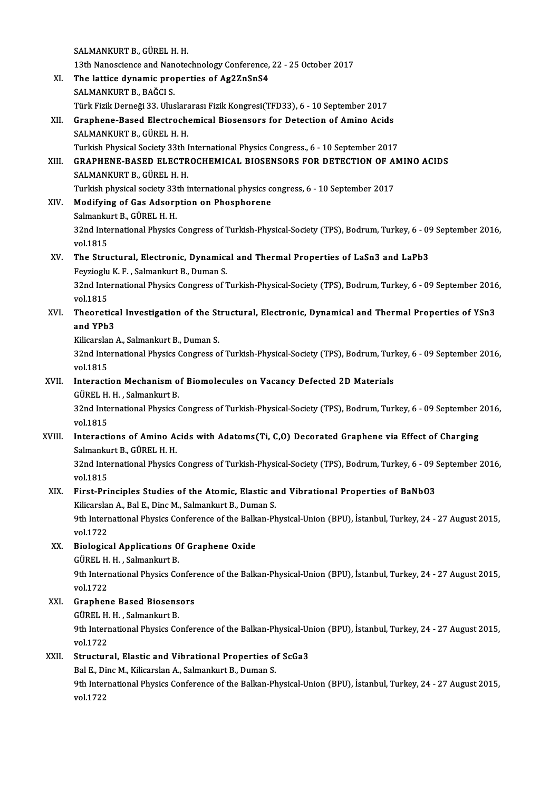SALMANKURT B., GÜREL H.H. SALMANKURT B., GÜREL H. H.<br>13th Nanoscience and Nanotechnology Conference, 22 - 25 October 2017<br>The lattice dunamic proporties of Ag27rSpS4 SALMANKURT B., GÜREL H. H.<br>13th Nanoscience and Nanotechnology Conference,<br>XI. The lattice dynamic properties of Ag2ZnSnS4<br>SALMANKURT B. BAČCLS 13th Nanoscience and Nan<br>The lattice dynamic pro<br>SALMANKURT B., BAĞCI S.<br>Türk Firik Derneği 22 Hlue The lattice dynamic properties of Ag2ZnSnS4<br>SALMANKURT B., BAĞCI S.<br>Türk Fizik Derneği 33. Uluslararası Fizik Kongresi(TFD33), 6 - 10 September 2017 SALMANKURT B., BAĞCI S.<br>Türk Fizik Derneği 33. Uluslararası Fizik Kongresi(TFD33), 6 - 10 September 2017<br>XII. Graphene-Based Electrochemical Biosensors for Detection of Amino Acids<br>SALMANKURT R. CÜREL H. H. Türk Fizik Derneği 33. Uluslara<br><mark>Graphene-Based Electroch</mark><br>SALMANKURT B., GÜREL H. H.<br>Turkich Physical Society 33th I Graphene-Based Electrochemical Biosensors for Detection of Amino Acids<br>SALMANKURT B., GÜREL H. H.<br>Turkish Physical Society 33th International Physics Congress., 6 - 10 September 2017<br>CRAPHENE RASED ELECTROCHEMICAL RIOSENSO SALMANKURT B., GÜREL H. H.<br>Turkish Physical Society 33th International Physics Congress., 6 - 10 September 2017<br>XIII. GRAPHENE-BASED ELECTROCHEMICAL BIOSENSORS FOR DETECTION OF AMINO ACIDS<br>SALMANKURT B.. GÜREL H. H. Turkish Physical Society 33th International Physics Congress., 6 - 10 September 2017 GRAPHENE-BASED ELECTROCHEMICAL BIOSENSORS FOR DETECTION OF A<br>SALMANKURT B., GÜREL H. H.<br>Turkish physical society 33th international physics congress, 6 - 10 September 2017<br>Modifying of Cas Adsorntion on Phosphorone XIV. Modifying of Gas Adsorption on Phosphorene Turkish physical society 33<br>Modifying of Gas Adsorp<br>Salmankurt B., GÜREL H. H.<br>22nd International Physics Modifying of Gas Adsorption on Phosphorene<br>Salmankurt B., GÜREL H. H.<br>32nd International Physics Congress of Turkish-Physical-Society (TPS), Bodrum, Turkey, 6 - 09 September 2016,<br>vol.1915 Salmanku<br>32nd Inte<br>vol.1815<br>The Stru 32nd International Physics Congress of Turkish-Physical-Society (TPS), Bodrum, Turkey, 6 - 09<br>vol.1815<br>XV. The Structural, Electronic, Dynamical and Thermal Properties of LaSn3 and LaPb3<br>Fouries U. K. E. Selmanluut B. Duma vol.1815<br>XV. The Structural, Electronic, Dynamical and Thermal Properties of LaSn3 and LaPb3<br>Feyzioglu K. F., Salmankurt B., Duman S. The Structural, Electronic, Dynamical and Thermal Properties of LaSn3 and LaPb3<br>Feyzioglu K. F. , Salmankurt B., Duman S.<br>32nd International Physics Congress of Turkish-Physical-Society (TPS), Bodrum, Turkey, 6 - 09 Septem Feyzioglu<br>32nd Inte<br>vol.1815<br>Theorati 32nd International Physics Congress of Turkish-Physical-Society (TPS), Bodrum, Turkey, 6 - 09 September 2016<br>vol.1815<br>XVI. Theoretical Investigation of the Structural, Electronic, Dynamical and Thermal Properties of YSn3<br>a vol.1815<br>Theoretica<br>and YPb3<br>Kilicarslan Theoretical Investigation of the St<br>and YPb3<br>Kilicarslan A., Salmankurt B., Duman S.<br>22nd International Physics Congress o **and YPb3**<br>Kilicarslan A., Salmankurt B., Duman S.<br>32nd International Physics Congress of Turkish-Physical-Society (TPS), Bodrum, Turkey, 6 - 09 September 2016,<br>vol.1915 Kilicarsla<br>32nd Inte<br>vol.1815<br>Interacti 32nd International Physics Congress of Turkish-Physical-Society (TPS), Bodrum, Turi<br>vol.1815<br>XVII. Interaction Mechanism of Biomolecules on Vacancy Defected 2D Materials<br>CUPEL H. H. Salmankurt P vol.1815<br>XVII. Interaction Mechanism of Biomolecules on Vacancy Defected 2D Materials 32nd International Physics Congress of Turkish-Physical-Society (TPS), Bodrum, Turkey, 6 - 09 September 2016,<br>vol.1815 GÜREL H. H., Salmankurt B. 32nd International Physics Congress of Turkish-Physical-Society (TPS), Bodrum, Turkey, 6 - 09 September :<br>vol.1815<br>XVIII. Interactions of Amino Acids with Adatoms(Ti, C,O) Decorated Graphene via Effect of Charging<br>Selmanku vol.1815<br>Interactions of Amino A<br>Salmankurt B., GÜREL H. H.<br>22nd International Physics Interactions of Amino Acids with Adatoms(Ti, C,O) Decorated Graphene via Effect of Charging<br>Salmankurt B., GÜREL H. H.<br>32nd International Physics Congress of Turkish-Physical-Society (TPS), Bodrum, Turkey, 6 - 09 September Salmankurt B., GÜREL H. H.<br>32nd International Physics Congress of Turkish-Physical-Society (TPS), Bodrum, Turkey, 6 - 09 September 2016,<br>vol.1815 32nd International Physics Congress of Turkish-Physical-Society (TPS), Bodrum, Turkey, 6 - 09 \;<br>vol.1815<br>XIX. First-Principles Studies of the Atomic, Elastic and Vibrational Properties of BaNbO3 vol.1815<br>First-Principles Studies of the Atomic, Elastic an<br>Kilicarslan A., Bal E., Dinc M., Salmankurt B., Duman S.<br><sup>Oth Intornational Physics Conforence of the Ballma Ph</sub></sup> First-Principles Studies of the Atomic, Elastic and Vibrational Properties of BaNbO3<br>Kilicarslan A., Bal E., Dinc M., Salmankurt B., Duman S.<br>9th International Physics Conference of the Balkan-Physical-Union (BPU), İstanbu Kilicarsla<br>9th Intern<br>vol.1722<br>Biologia XX. Biological Applications Of Graphene Oxide vol.1722<br><mark>Biological Applications O</mark><br>GÜREL H. H. , Salmankurt B.<br><sup>Oth International Physics Co</sub></sup> 9th International Physics Conference of the Balkan-Physical-Union (BPU), İstanbul, Turkey, 24 - 27 August 2015,<br>vol.1722 GÜREL H.<br>9th Intern<br>vol.1722<br>Craphan 9th International Physics Confer<br>vol.1722<br>XXI. Graphene Based Biosensors<br>CÜPEL H H Selmanlaut P vol.1722<br><mark>Graphene Based Biosens</mark><br>GÜREL H. H. , Salmankurt B.<br><sup>Oth Intornational Physiss Co</sup> Graphene Based Biosensors<br>GÜREL H. H. , Salmankurt B.<br>9th International Physics Conference of the Balkan-Physical-Union (BPU), İstanbul, Turkey, 24 - 27 August 2015, GÜREL H. H. , Salmankurt B.<br>9th International Physics Co<br>vol.1722 9th International Physics Conference of the Balkan-Physical-Ur<br>vol.1722<br>XXII. Structural, Elastic and Vibrational Properties of ScGa3<br>Pel E. Dine M. Kilicarskn A. Salmankut B. Duman S. Structural, Elastic and Vibrational Properties of ScGa3<br>Bal E., Dinc M., Kilicarslan A., Salmankurt B., Duman S. Structural, Elastic and Vibrational Properties of ScGa3<br>Bal E., Dinc M., Kilicarslan A., Salmankurt B., Duman S.<br>9th International Physics Conference of the Balkan-Physical-Union (BPU), İstanbul, Turkey, 24 - 27 August 201 Bal E., Di<br>9th Inter<br>vol.1722